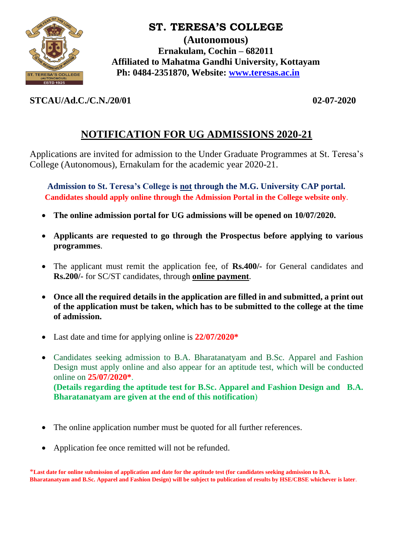

# **ST. TERESA'S COLLEGE**

**(Autonomous) Ernakulam, Cochin – 682011 Affiliated to Mahatma Gandhi University, Kottayam Ph: 0484-2351870, Website: [www.teresas.ac.in](http://www.teresas.ac.in/)**

### **STCAU/Ad.C./C.N./20/01 02-07-2020**

# **NOTIFICATION FOR UG ADMISSIONS 2020-21**

Applications are invited for admission to the Under Graduate Programmes at St. Teresa's College (Autonomous), Ernakulam for the academic year 2020-21.

**Admission to St. Teresa's College is not through the M.G. University CAP portal. Candidates should apply online through the Admission Portal in the College website only**.

- **The online admission portal for UG admissions will be opened on 10/07/2020.**
- **Applicants are requested to go through the Prospectus before applying to various programmes**.
- The applicant must remit the application fee, of **Rs.400/-** for General candidates and **Rs.200/-** for SC/ST candidates, through **online payment**.
- **Once all the required details in the application are filled in and submitted, a print out of the application must be taken, which has to be submitted to the college at the time of admission.**
- Last date and time for applying online is **22/07/2020\***
- Candidates seeking admission to B.A. Bharatanatyam and B.Sc. Apparel and Fashion Design must apply online and also appear for an aptitude test, which will be conducted online on **25/07/2020\***. **(Details regarding the aptitude test for B.Sc. Apparel and Fashion Design and B.A. Bharatanatyam are given at the end of this notification**)
- The online application number must be quoted for all further references.
- Application fee once remitted will not be refunded.

\***Last date for online submission of application and date for the aptitude test (for candidates seeking admission to B.A. Bharatanatyam and B.Sc. Apparel and Fashion Design) will be subject to publication of results by HSE/CBSE whichever is later**.